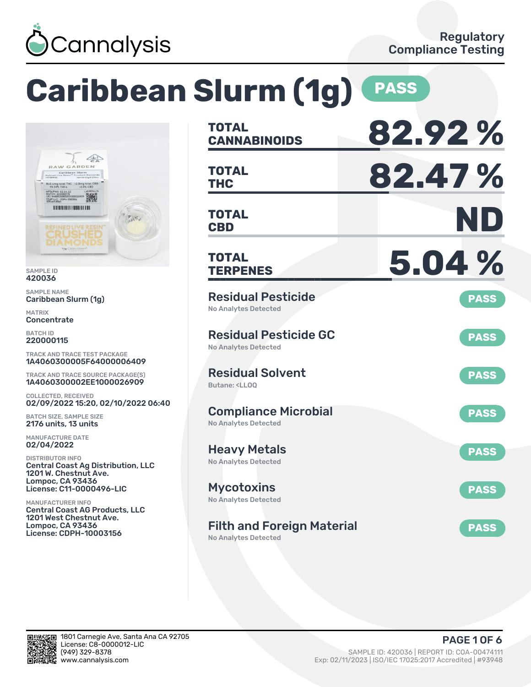

# **Caribbean Slurm (1g) PASS**



SAMPLE ID 420036

SAMPLE NAME Caribbean Slurm (1g)

MATRIX **Concentrate** 

BATCH ID 220000115

TRACK AND TRACE TEST PACKAGE 1A4060300005F64000006409

TRACK AND TRACE SOURCE PACKAGE(S) 1A4060300002EE1000026909

COLLECTED, RECEIVED 02/09/2022 15:20, 02/10/2022 06:40

BATCH SIZE, SAMPLE SIZE 2176 units, 13 units

MANUFACTURE DATE 02/04/2022

DISTRIBUTOR INFO Central Coast Ag Distribution, LLC 1201 W. Chestnut Ave. Lompoc, CA 93436 License: C11-0000496-LIC

MANUFACTURER INFO Central Coast AG Products, LLC 1201 West Chestnut Ave. Lompoc, CA 93436 License: CDPH-10003156

| <b>TOTAL</b><br><b>CANNABINOIDS</b>                                          | 82.92%      |
|------------------------------------------------------------------------------|-------------|
| TOTAL<br><b>THC</b>                                                          | 82.47%      |
| TOTAL<br><b>CBD</b>                                                          | ND          |
| TOTAL<br><b>TERPENES</b>                                                     | 5.04%       |
| <b>Residual Pesticide</b><br><b>No Analytes Detected</b>                     | <b>PASS</b> |
| <b>Residual Pesticide GC</b><br>No Analytes Detected                         | <b>PASS</b> |
| <b>Residual Solvent</b><br>Butane: <ll00< td=""><td><b>PASS</b></td></ll00<> | <b>PASS</b> |
| <b>Compliance Microbial</b><br><b>No Analytes Detected</b>                   | <b>PASS</b> |
| <b>Heavy Metals</b><br><b>No Analytes Detected</b>                           | <b>PASS</b> |
| <b>Mycotoxins</b><br>No Analytes Detected                                    | <b>PASS</b> |
| <b>Filth and Foreign Material</b><br><b>No Analytes Detected</b>             | <b>PASS</b> |

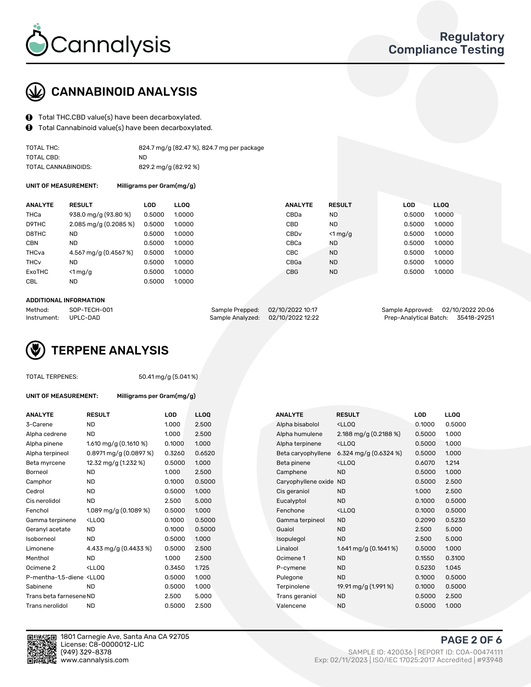

# CANNABINOID ANALYSIS

- Total THC,CBD value(s) have been decarboxylated.
- Total Cannabinoid value(s) have been decarboxylated.  $\mathbf{\Theta}$

| TOTAL THC:          | 824.7 mg/g (82.47 %), 824.7 mg per package |
|---------------------|--------------------------------------------|
| TOTAL CBD:          | ND.                                        |
| TOTAL CANNABINOIDS: | 829.2 mg/g (82.92 %)                       |

UNIT OF MEASUREMENT: Milligrams per Gram(mg/g)

| <b>ANALYTE</b>         | <b>RESULT</b>                      | LOD    | <b>LLOO</b> | <b>ANALYTE</b>   | <b>RESULT</b> | LOD    | LL <sub>00</sub> |
|------------------------|------------------------------------|--------|-------------|------------------|---------------|--------|------------------|
| THCa                   | 938.0 mg/g (93.80 %)               | 0.5000 | 1.0000      | CBDa             | <b>ND</b>     | 0.5000 | 1.0000           |
| D9THC                  | $2.085 \,\mathrm{mq/g}$ (0.2085 %) | 0.5000 | 1.0000      | CBD              | <b>ND</b>     | 0.5000 | 1.0000           |
| D8THC                  | <b>ND</b>                          | 0.5000 | 1.0000      | CBD <sub>v</sub> | $<$ 1 mg/g    | 0.5000 | 1.0000           |
| <b>CBN</b>             | <b>ND</b>                          | 0.5000 | 1.0000      | CBCa             | <b>ND</b>     | 0.5000 | 1.0000           |
| THCva                  | 4.567 mg/g (0.4567 %)              | 0.5000 | 1.0000      | <b>CBC</b>       | <b>ND</b>     | 0.5000 | 1.0000           |
| <b>THC<sub>v</sub></b> | ND.                                | 0.5000 | 1.0000      | CBGa             | <b>ND</b>     | 0.5000 | 1.0000           |
| ExoTHC                 | $<$ 1 mg/g                         | 0.5000 | 1.0000      | <b>CBG</b>       | <b>ND</b>     | 0.5000 | 1.0000           |
| <b>CBL</b>             | <b>ND</b>                          | 0.5000 | 1.0000      |                  |               |        |                  |
|                        |                                    |        |             |                  |               |        |                  |

#### ADDITIONAL INFORMATION

| Method:              | SOP-TECH-001 | Sample Prepped: 02/10/2022 10:17 |                                   | Sample Approved: 02/10/2022 20:06  |  |
|----------------------|--------------|----------------------------------|-----------------------------------|------------------------------------|--|
| Instrument: UPLC-DAD |              |                                  | Sample Analyzed: 02/10/2022 12:22 | Prep-Analytical Batch: 35418-29251 |  |

# TERPENE ANALYSIS

|  | TOTAL TERPENES: |
|--|-----------------|
|--|-----------------|

50.41 mg/g (5.041 %)

| UNIT OF MEASUREMENT: |
|----------------------|
|----------------------|

Milligrams per Gram(mg/g)

| <b>ANALYTE</b>                                                                                                                                  | <b>RESULT</b>                                                                                                               | <b>LOD</b> | <b>LLOQ</b> | <b>ANALYTE</b>         | <b>RESULT</b>                                       | <b>LOD</b> | <b>LLOQ</b> |
|-------------------------------------------------------------------------------------------------------------------------------------------------|-----------------------------------------------------------------------------------------------------------------------------|------------|-------------|------------------------|-----------------------------------------------------|------------|-------------|
| 3-Carene                                                                                                                                        | <b>ND</b>                                                                                                                   | 1.000      | 2.500       | Alpha bisabolol        | <lloq< td=""><td>0.1000</td><td>0.5000</td></lloq<> | 0.1000     | 0.5000      |
| Alpha cedrene                                                                                                                                   | <b>ND</b>                                                                                                                   | 1.000      | 2.500       | Alpha humulene         | 2.188 mg/g $(0.2188\%)$                             | 0.5000     | 1.000       |
| Alpha pinene                                                                                                                                    | 1.610 mg/g $(0.1610 \%)$                                                                                                    | 0.1000     | 1.000       | Alpha terpinene        | <ll0q< td=""><td>0.5000</td><td>1.000</td></ll0q<>  | 0.5000     | 1.000       |
| Alpha terpineol                                                                                                                                 | $0.8971$ mg/g $(0.0897%)$                                                                                                   | 0.3260     | 0.6520      | Beta caryophyllene     | 6.324 mg/g $(0.6324\%)$                             | 0.5000     | 1.000       |
| Beta myrcene                                                                                                                                    | 12.32 mg/g (1.232 %)                                                                                                        | 0.5000     | 1.000       | Beta pinene            | <lloq< td=""><td>0.6070</td><td>1.214</td></lloq<>  | 0.6070     | 1.214       |
| Borneol                                                                                                                                         | <b>ND</b>                                                                                                                   | 1.000      | 2.500       | Camphene               | <b>ND</b>                                           | 0.5000     | 1.000       |
| Camphor                                                                                                                                         | <b>ND</b>                                                                                                                   | 0.1000     | 0.5000      | Caryophyllene oxide ND |                                                     | 0.5000     | 2.500       |
| Cedrol                                                                                                                                          | <b>ND</b>                                                                                                                   | 0.5000     | 1.000       | Cis geraniol           | <b>ND</b>                                           | 1.000      | 2.500       |
| Cis nerolidol                                                                                                                                   | <b>ND</b>                                                                                                                   | 2.500      | 5.000       | Eucalyptol             | <b>ND</b>                                           | 0.1000     | 0.5000      |
| Fenchol                                                                                                                                         | 1.089 mg/g $(0.1089\%)$                                                                                                     | 0.5000     | 1.000       | Fenchone               | <lloq< td=""><td>0.1000</td><td>0.5000</td></lloq<> | 0.1000     | 0.5000      |
| Gamma terpinene                                                                                                                                 | <lloq< td=""><td>0.1000</td><td>0.5000</td><td>Gamma terpineol</td><td><b>ND</b></td><td>0.2090</td><td>0.5230</td></lloq<> | 0.1000     | 0.5000      | Gamma terpineol        | <b>ND</b>                                           | 0.2090     | 0.5230      |
| Geranyl acetate                                                                                                                                 | <b>ND</b>                                                                                                                   | 0.1000     | 0.5000      | Guaiol                 | <b>ND</b>                                           | 2.500      | 5.000       |
| Isoborneol                                                                                                                                      | <b>ND</b>                                                                                                                   | 0.5000     | 1.000       | Isopulegol             | <b>ND</b>                                           | 2.500      | 5.000       |
| Limonene                                                                                                                                        | 4.433 mg/g (0.4433 %)                                                                                                       | 0.5000     | 2.500       | Linalool               | 1.641 mg/g $(0.1641\%)$                             | 0.5000     | 1.000       |
| Menthol                                                                                                                                         | <b>ND</b>                                                                                                                   | 1.000      | 2.500       | Ocimene 1              | <b>ND</b>                                           | 0.1550     | 0.3100      |
| Ocimene <sub>2</sub>                                                                                                                            | $<$ LLOO                                                                                                                    | 0.3450     | 1.725       | P-cymene               | <b>ND</b>                                           | 0.5230     | 1.045       |
| P-mentha-1,5-diene <lloq< td=""><td></td><td>0.5000</td><td>1.000</td><td>Pulegone</td><td><b>ND</b></td><td>0.1000</td><td>0.5000</td></lloq<> |                                                                                                                             | 0.5000     | 1.000       | Pulegone               | <b>ND</b>                                           | 0.1000     | 0.5000      |
| Sabinene                                                                                                                                        | <b>ND</b>                                                                                                                   | 0.5000     | 1.000       | Terpinolene            | 19.91 mg/g (1.991 %)                                | 0.1000     | 0.5000      |
| Trans beta farnesene ND                                                                                                                         |                                                                                                                             | 2.500      | 5.000       | Trans geraniol         | <b>ND</b>                                           | 0.5000     | 2.500       |
| Trans nerolidol                                                                                                                                 | <b>ND</b>                                                                                                                   | 0.5000     | 2.500       | Valencene              | <b>ND</b>                                           | 0.5000     | 1.000       |
|                                                                                                                                                 |                                                                                                                             |            |             |                        |                                                     |            |             |



1801 Carnegie Ave, Santa Ana CA 92705 License: C8-0000012-LIC<br>(949) 329-8378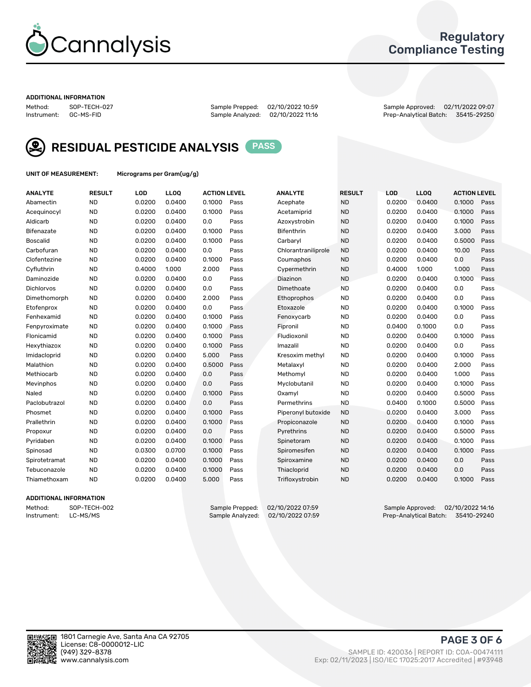

## Regulatory Compliance Testing

#### ADDITIONAL INFORMATION

Method: SOP-TECH-027 Sample Prepped: 02/10/2022 10:59 Sample Approved: 02/11/2022 09:07 Prep-Analytical Batch: 35415-29250



RESIDUAL PESTICIDE ANALYSIS PASS

UNIT OF MEASUREMENT: Micrograms per Gram(ug/g)

| <b>ANALYTE</b>    | <b>RESULT</b> | LOD    | LL <sub>OO</sub> | <b>ACTION LEVEL</b> |      | <b>ANALYTE</b>      | <b>RESULT</b> | <b>LOD</b> | <b>LLOQ</b> | <b>ACTION LEVEL</b> |      |
|-------------------|---------------|--------|------------------|---------------------|------|---------------------|---------------|------------|-------------|---------------------|------|
| Abamectin         | <b>ND</b>     | 0.0200 | 0.0400           | 0.1000              | Pass | Acephate            | <b>ND</b>     | 0.0200     | 0.0400      | 0.1000              | Pass |
| Acequinocyl       | <b>ND</b>     | 0.0200 | 0.0400           | 0.1000              | Pass | Acetamiprid         | <b>ND</b>     | 0.0200     | 0.0400      | 0.1000              | Pass |
| Aldicarb          | <b>ND</b>     | 0.0200 | 0.0400           | 0.0                 | Pass | Azoxystrobin        | <b>ND</b>     | 0.0200     | 0.0400      | 0.1000              | Pass |
| Bifenazate        | <b>ND</b>     | 0.0200 | 0.0400           | 0.1000              | Pass | <b>Bifenthrin</b>   | <b>ND</b>     | 0.0200     | 0.0400      | 3.000               | Pass |
| <b>Boscalid</b>   | <b>ND</b>     | 0.0200 | 0.0400           | 0.1000              | Pass | Carbarvl            | <b>ND</b>     | 0.0200     | 0.0400      | 0.5000              | Pass |
| Carbofuran        | <b>ND</b>     | 0.0200 | 0.0400           | 0.0                 | Pass | Chlorantraniliprole | <b>ND</b>     | 0.0200     | 0.0400      | 10.00               | Pass |
| Clofentezine      | <b>ND</b>     | 0.0200 | 0.0400           | 0.1000              | Pass | Coumaphos           | <b>ND</b>     | 0.0200     | 0.0400      | 0.0                 | Pass |
| Cyfluthrin        | <b>ND</b>     | 0.4000 | 1.000            | 2.000               | Pass | Cypermethrin        | <b>ND</b>     | 0.4000     | 1.000       | 1.000               | Pass |
| Daminozide        | <b>ND</b>     | 0.0200 | 0.0400           | 0.0                 | Pass | Diazinon            | <b>ND</b>     | 0.0200     | 0.0400      | 0.1000              | Pass |
| <b>Dichlorvos</b> | <b>ND</b>     | 0.0200 | 0.0400           | 0.0                 | Pass | Dimethoate          | <b>ND</b>     | 0.0200     | 0.0400      | 0.0                 | Pass |
| Dimethomorph      | <b>ND</b>     | 0.0200 | 0.0400           | 2.000               | Pass | <b>Ethoprophos</b>  | <b>ND</b>     | 0.0200     | 0.0400      | 0.0                 | Pass |
| Etofenprox        | <b>ND</b>     | 0.0200 | 0.0400           | 0.0                 | Pass | Etoxazole           | <b>ND</b>     | 0.0200     | 0.0400      | 0.1000              | Pass |
| Fenhexamid        | <b>ND</b>     | 0.0200 | 0.0400           | 0.1000              | Pass | Fenoxycarb          | <b>ND</b>     | 0.0200     | 0.0400      | 0.0                 | Pass |
| Fenpyroximate     | <b>ND</b>     | 0.0200 | 0.0400           | 0.1000              | Pass | Fipronil            | <b>ND</b>     | 0.0400     | 0.1000      | 0.0                 | Pass |
| Flonicamid        | <b>ND</b>     | 0.0200 | 0.0400           | 0.1000              | Pass | Fludioxonil         | <b>ND</b>     | 0.0200     | 0.0400      | 0.1000              | Pass |
| Hexythiazox       | <b>ND</b>     | 0.0200 | 0.0400           | 0.1000              | Pass | Imazalil            | <b>ND</b>     | 0.0200     | 0.0400      | 0.0                 | Pass |
| Imidacloprid      | <b>ND</b>     | 0.0200 | 0.0400           | 5.000               | Pass | Kresoxim methyl     | <b>ND</b>     | 0.0200     | 0.0400      | 0.1000              | Pass |
| Malathion         | <b>ND</b>     | 0.0200 | 0.0400           | 0.5000              | Pass | Metalaxyl           | <b>ND</b>     | 0.0200     | 0.0400      | 2.000               | Pass |
| Methiocarb        | <b>ND</b>     | 0.0200 | 0.0400           | 0.0                 | Pass | Methomyl            | <b>ND</b>     | 0.0200     | 0.0400      | 1.000               | Pass |
| Mevinphos         | <b>ND</b>     | 0.0200 | 0.0400           | 0.0                 | Pass | Myclobutanil        | <b>ND</b>     | 0.0200     | 0.0400      | 0.1000              | Pass |
| Naled             | <b>ND</b>     | 0.0200 | 0.0400           | 0.1000              | Pass | Oxamyl              | <b>ND</b>     | 0.0200     | 0.0400      | 0.5000              | Pass |
| Paclobutrazol     | <b>ND</b>     | 0.0200 | 0.0400           | 0.0                 | Pass | Permethrins         | <b>ND</b>     | 0.0400     | 0.1000      | 0.5000              | Pass |
| Phosmet           | <b>ND</b>     | 0.0200 | 0.0400           | 0.1000              | Pass | Piperonyl butoxide  | <b>ND</b>     | 0.0200     | 0.0400      | 3.000               | Pass |
| Prallethrin       | <b>ND</b>     | 0.0200 | 0.0400           | 0.1000              | Pass | Propiconazole       | <b>ND</b>     | 0.0200     | 0.0400      | 0.1000              | Pass |
| Propoxur          | <b>ND</b>     | 0.0200 | 0.0400           | 0.0                 | Pass | Pyrethrins          | <b>ND</b>     | 0.0200     | 0.0400      | 0.5000              | Pass |
| Pyridaben         | <b>ND</b>     | 0.0200 | 0.0400           | 0.1000              | Pass | Spinetoram          | <b>ND</b>     | 0.0200     | 0.0400      | 0.1000              | Pass |
| Spinosad          | <b>ND</b>     | 0.0300 | 0.0700           | 0.1000              | Pass | Spiromesifen        | <b>ND</b>     | 0.0200     | 0.0400      | 0.1000              | Pass |
| Spirotetramat     | <b>ND</b>     | 0.0200 | 0.0400           | 0.1000              | Pass | Spiroxamine         | <b>ND</b>     | 0.0200     | 0.0400      | 0.0                 | Pass |
| Tebuconazole      | <b>ND</b>     | 0.0200 | 0.0400           | 0.1000              | Pass | Thiacloprid         | <b>ND</b>     | 0.0200     | 0.0400      | 0.0                 | Pass |
| Thiamethoxam      | <b>ND</b>     | 0.0200 | 0.0400           | 5.000               | Pass | Trifloxystrobin     | <b>ND</b>     | 0.0200     | 0.0400      | 0.1000              | Pass |

#### ADDITIONAL INFORMATION

Method: SOP-TECH-002 Sample Prepped: 02/10/2022 07:59 Sample Approved: 02/10/2022 14:16<br>Instrument: LC-MS/MS Sample Analyzed: 02/10/2022 07:59 Prep-Analytical Batch: 35410-29240 Prep-Analytical Batch: 35410-29240

PAGE 3 OF 6

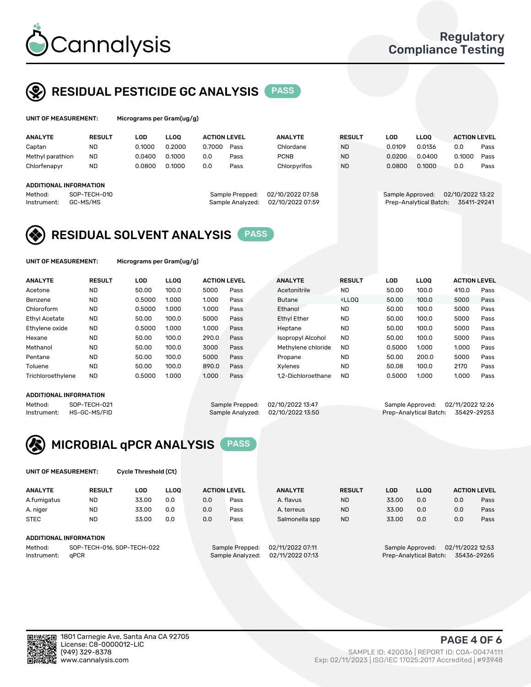

## RESIDUAL PESTICIDE GC ANALYSIS PASS

| UNIT OF MEASUREMENT:   |                                                                 | Micrograms per Gram(ug/g) |             |                                      |      |                                                                               |               |        |             |                     |      |
|------------------------|-----------------------------------------------------------------|---------------------------|-------------|--------------------------------------|------|-------------------------------------------------------------------------------|---------------|--------|-------------|---------------------|------|
| <b>ANALYTE</b>         | <b>RESULT</b>                                                   | LOD                       | <b>LLOO</b> | <b>ACTION LEVEL</b>                  |      | <b>ANALYTE</b>                                                                | <b>RESULT</b> | LOD    | <b>LLOO</b> | <b>ACTION LEVEL</b> |      |
| Captan                 | ND                                                              | 0.1000                    | 0.2000      | 0.7000                               | Pass | Chlordane                                                                     | <b>ND</b>     | 0.0109 | 0.0136      | 0.0                 | Pass |
| Methyl parathion       | <b>ND</b>                                                       | 0.0400                    | 0.1000      | 0.0                                  | Pass | <b>PCNB</b>                                                                   | <b>ND</b>     | 0.0200 | 0.0400      | 0.1000              | Pass |
| Chlorfenapyr           | <b>ND</b>                                                       | 0.0800                    | 0.1000      | 0.0                                  | Pass | Chlorpyrifos                                                                  | <b>ND</b>     | 0.0800 | 0.1000      | 0.0                 | Pass |
| ADDITIONAL INFORMATION |                                                                 |                           |             |                                      |      |                                                                               |               |        |             |                     |      |
| Method:<br>Instrument: | SOP-TECH-010<br>Sample Prepped:<br>GC-MS/MS<br>Sample Analyzed: |                           |             | 02/10/2022 07:58<br>02/10/2022 07:59 |      | 02/10/2022 13:22<br>Sample Approved:<br>Prep-Analytical Batch:<br>35411-29241 |               |        |             |                     |      |

## RESIDUAL SOLVENT ANALYSIS PASS

UNIT OF MEASUREMENT: Micrograms per Gram(ug/g)

| <b>ANALYTE</b>       | <b>RESULT</b> | <b>LOD</b> | <b>LLOO</b> | <b>ACTION LEVEL</b> |      | <b>ANALYTE</b>           | <b>RESULT</b>                                                               | LOD    | <b>LLOO</b> | <b>ACTION LEVEL</b> |      |
|----------------------|---------------|------------|-------------|---------------------|------|--------------------------|-----------------------------------------------------------------------------|--------|-------------|---------------------|------|
| Acetone              | <b>ND</b>     | 50.00      | 100.0       | 5000                | Pass | Acetonitrile             | <b>ND</b>                                                                   | 50.00  | 100.0       | 410.0               | Pass |
| Benzene              | <b>ND</b>     | 0.5000     | 1.000       | 1.000               | Pass | <b>Butane</b>            | <lloo< td=""><td>50.00</td><td>100.0</td><td>5000</td><td>Pass</td></lloo<> | 50.00  | 100.0       | 5000                | Pass |
| Chloroform           | <b>ND</b>     | 0.5000     | 1.000       | 1.000               | Pass | Ethanol                  | <b>ND</b>                                                                   | 50.00  | 100.0       | 5000                | Pass |
| <b>Ethyl Acetate</b> | <b>ND</b>     | 50.00      | 100.0       | 5000                | Pass | <b>Ethyl Ether</b>       | <b>ND</b>                                                                   | 50.00  | 100.0       | 5000                | Pass |
| Ethylene oxide       | <b>ND</b>     | 0.5000     | 1.000       | 1.000               | Pass | Heptane                  | <b>ND</b>                                                                   | 50.00  | 100.0       | 5000                | Pass |
| Hexane               | <b>ND</b>     | 50.00      | 100.0       | 290.0               | Pass | <b>Isopropyl Alcohol</b> | <b>ND</b>                                                                   | 50.00  | 100.0       | 5000                | Pass |
| Methanol             | <b>ND</b>     | 50.00      | 100.0       | 3000                | Pass | Methylene chloride       | <b>ND</b>                                                                   | 0.5000 | 1.000       | 1.000               | Pass |
| Pentane              | <b>ND</b>     | 50.00      | 100.0       | 5000                | Pass | Propane                  | <b>ND</b>                                                                   | 50.00  | 200.0       | 5000                | Pass |
| Toluene              | <b>ND</b>     | 50.00      | 100.0       | 890.0               | Pass | Xvlenes                  | <b>ND</b>                                                                   | 50.08  | 100.0       | 2170                | Pass |
| Trichloroethylene    | <b>ND</b>     | 0.5000     | 1.000       | 1.000               | Pass | 1.2-Dichloroethane       | <b>ND</b>                                                                   | 0.5000 | 1.000       | 1.000               | Pass |

#### ADDITIONAL INFORMATION

Method: SOP-TECH-021 Sample Prepped: 02/10/2022 13:47 Sample Approved: 02/11/2022 12:26<br>Sample Analyzed: 02/10/2022 13:50 Prep-Analytical Batch: 35429-29253

Prep-Analytical Batch: 35429-29253



UNIT OF MEASUREMENT: Cycle Threshold (Ct)

|                                       |               |       |             | <b>ACTION LEVEL</b> | <b>ANALYTE</b>   |                |                                      |                        |             |             |                     |
|---------------------------------------|---------------|-------|-------------|---------------------|------------------|----------------|--------------------------------------|------------------------|-------------|-------------|---------------------|
| <b>ANALYTE</b>                        | <b>RESULT</b> | LOD   | <b>LLOO</b> |                     |                  |                | <b>RESULT</b>                        | <b>LOD</b>             | <b>LLOO</b> |             | <b>ACTION LEVEL</b> |
| A.fumigatus                           | <b>ND</b>     | 33.00 | 0.0         | 0.0                 | Pass             | A. flavus      | <b>ND</b>                            | 33.00                  | 0.0         | 0.0         | Pass                |
| A. niger                              | <b>ND</b>     | 33.00 | 0.0         | 0.0                 | Pass             | A. terreus     | <b>ND</b>                            | 33.00                  | 0.0         | 0.0         | Pass                |
| <b>STEC</b>                           | <b>ND</b>     | 33.00 | 0.0         | 0.0                 | Pass             | Salmonella spp | <b>ND</b>                            | 33.00                  | 0.0         | 0.0         | Pass                |
| ADDITIONAL INFORMATION                |               |       |             |                     |                  |                |                                      |                        |             |             |                     |
| SOP-TECH-016, SOP-TECH-022<br>Method: |               |       |             | Sample Prepped:     | 02/11/2022 07:11 |                | 02/11/2022 12:53<br>Sample Approved: |                        |             |             |                     |
| aPCR<br>Instrument:                   |               |       |             | Sample Analyzed:    | 02/11/2022 07:13 |                |                                      | Prep-Analytical Batch: |             | 35436-29265 |                     |

ान

(949) 329-8378 SAMPLE ID: 420036 | REPORT ID: COA-00474111 Exp: 02/11/2023 | ISO/IEC 17025:2017 Accredited | #93948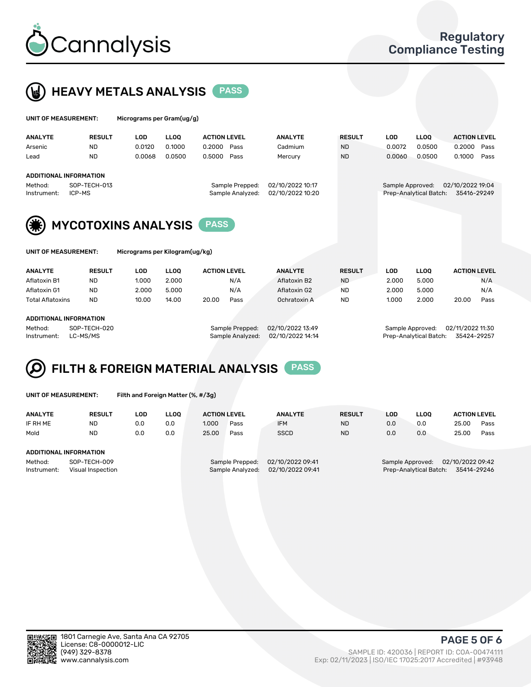



| UNIT OF MEASUREMENT:                                    |                        |                                | Micrograms per Gram(ug/g) |                     |                                     |                                      |               |            |                                            |                                 |      |  |  |
|---------------------------------------------------------|------------------------|--------------------------------|---------------------------|---------------------|-------------------------------------|--------------------------------------|---------------|------------|--------------------------------------------|---------------------------------|------|--|--|
| <b>ANALYTE</b>                                          | <b>RESULT</b>          | <b>LOD</b>                     | <b>LLOO</b>               | <b>ACTION LEVEL</b> |                                     | <b>ANALYTE</b>                       | <b>RESULT</b> | <b>LOD</b> | <b>LLOO</b>                                | <b>ACTION LEVEL</b>             |      |  |  |
| Arsenic                                                 | ND.                    | 0.0120                         | 0.1000                    | 0.2000              | Pass                                | Cadmium                              | <b>ND</b>     | 0.0072     | 0.0500                                     | 0.2000                          | Pass |  |  |
| Lead                                                    | <b>ND</b>              | 0.0068                         | 0.0500                    | 0.5000              | Pass                                | Mercury                              | <b>ND</b>     | 0.0060     | 0.0500                                     | 0.1000                          | Pass |  |  |
| <b>ADDITIONAL INFORMATION</b><br>Method:<br>Instrument: | SOP-TECH-013<br>ICP-MS |                                |                           |                     | Sample Prepped:<br>Sample Analyzed: | 02/10/2022 10:17<br>02/10/2022 10:20 |               |            | Sample Approved:<br>Prep-Analytical Batch: | 02/10/2022 19:04<br>35416-29249 |      |  |  |
| (谦)                                                     |                        | <b>MYCOTOXINS ANALYSIS</b>     |                           |                     |                                     |                                      |               |            |                                            |                                 |      |  |  |
| UNIT OF MEASUREMENT:                                    |                        | Micrograms per Kilogram(ug/kg) |                           |                     |                                     |                                      |               |            |                                            |                                 |      |  |  |

| <b>ANALYTE</b>          | <b>RESULT</b> | LOD   | <b>LLOO</b>     | <b>ACTION LEVEL</b> | <b>ANALYTE</b> | <b>RESULT</b>    | LOD   | <b>LLOO</b>      | <b>ACTION LEVEL</b> |
|-------------------------|---------------|-------|-----------------|---------------------|----------------|------------------|-------|------------------|---------------------|
| Aflatoxin B1            | ND            | 1.000 | 2.000           | N/A                 | Aflatoxin B2   | <b>ND</b>        | 2.000 | 5.000            | N/A                 |
| Aflatoxin G1            | ND            | 2.000 | 5.000           | N/A                 | Aflatoxin G2   | ND               | 2.000 | 5.000            | N/A                 |
| <b>Total Aflatoxins</b> | <b>ND</b>     | 10.00 | 14.00           | 20.00<br>Pass       | Ochratoxin A   | <b>ND</b>        | 1.000 | 2.000            | 20.00<br>Pass       |
| ADDITIONAL INFORMATION  |               |       |                 |                     |                |                  |       |                  |                     |
| Method:                 | SOP-TECH-020  |       | Sample Prepped: | 02/10/2022 13:49    |                | Sample Approved: |       | 02/11/2022 11:30 |                     |

Instrument: LC-MS/MS Sample Analyzed: 02/10/2022 14:14 Prep-Analytical Batch: 35424-29257

## FILTH & FOREIGN MATERIAL ANALYSIS PASS Q

UNIT OF MEASUREMENT: Filth and Foreign Matter (%, #/3g)

| <b>ANALYTE</b>                                              | <b>RESULT</b> | LOD | <b>LLOO</b> | <b>ACTION LEVEL</b>                                                         |      | <b>ANALYTE</b> | <b>RESULT</b> | LOD<br>LLOO                                                                   |     |       | <b>ACTION LEVEL</b> |  |
|-------------------------------------------------------------|---------------|-----|-------------|-----------------------------------------------------------------------------|------|----------------|---------------|-------------------------------------------------------------------------------|-----|-------|---------------------|--|
| IF RH ME                                                    | <b>ND</b>     | 0.0 | 0.0         | 1.000                                                                       | Pass | <b>IFM</b>     | <b>ND</b>     | 0.0                                                                           | 0.0 | 25.00 | Pass                |  |
| Mold                                                        | <b>ND</b>     | 0.0 | 0.0         | 25.00                                                                       | Pass | <b>SSCD</b>    | <b>ND</b>     | 0.0                                                                           | 0.0 | 25.00 | Pass                |  |
| ADDITIONAL INFORMATION                                      |               |     |             |                                                                             |      |                |               |                                                                               |     |       |                     |  |
| Method:<br>SOP-TECH-009<br>Instrument:<br>Visual Inspection |               |     |             | 02/10/2022 09:41<br>Sample Prepped:<br>02/10/2022 09:41<br>Sample Analyzed: |      |                |               | 02/10/2022 09:42<br>Sample Approved:<br>Prep-Analytical Batch:<br>35414-29246 |     |       |                     |  |